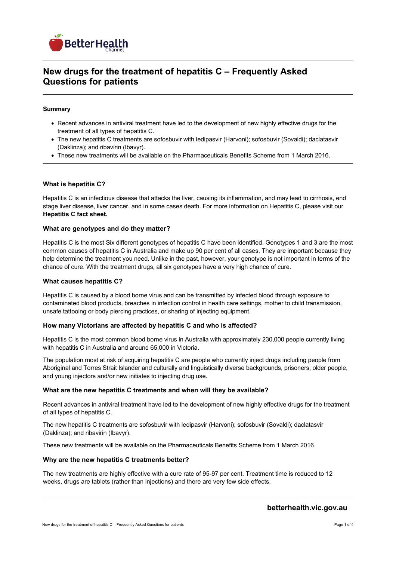

# **New drugs for the treatment of hepatitis C – Frequently Asked Questions for patients**

# **Summary**

- Recent advances in antiviral treatment have led to the development of new highly effective drugs for the treatment of all types of hepatitis C.
- The new hepatitis C treatments are sofosbuvir with ledipasvir (Harvoni); sofosbuvir (Sovaldi); daclatasvir (Daklinza); and ribavirin (Ibavyr).
- These new treatments will be available on the Pharmaceuticals Benefits Scheme from 1 March 2016.

## **What is hepatitis C?**

Hepatitis C is an infectious disease that attacks the liver, causing its inflammation, and may lead to cirrhosis, end stage liver disease, liver cancer, and in some cases death. For more information on Hepatitis C, please visit our **[Hepatitis C fact sheet.](https://www.betterhealth.vic.gov.au/health/conditionsandtreatments/hepatitis-c)**

## **What are genotypes and do they matter?**

Hepatitis C is the most Six different genotypes of hepatitis C have been identified. Genotypes 1 and 3 are the most common causes of hepatitis C in Australia and make up 90 per cent of all cases. They are important because they help determine the treatment you need. Unlike in the past, however, your genotype is not important in terms of the chance of cure. With the treatment drugs, all six genotypes have a very high chance of cure.

#### **What causes hepatitis C?**

Hepatitis C is caused by a blood borne virus and can be transmitted by infected blood through exposure to contaminated blood products, breaches in infection control in health care settings, mother to child transmission, unsafe tattooing or body piercing practices, or sharing of injecting equipment.

#### **How many Victorians are affected by hepatitis C and who is affected?**

Hepatitis C is the most common blood borne virus in Australia with approximately 230,000 people currently living with hepatitis C in Australia and around 65,000 in Victoria.

The population most at risk of acquiring hepatitis C are people who currently inject drugs including people from Aboriginal and Torres Strait Islander and culturally and linguistically diverse backgrounds, prisoners, older people, and young injectors and/or new initiates to injecting drug use.

#### **What are the new hepatitis C treatments and when will they be available?**

Recent advances in antiviral treatment have led to the development of new highly effective drugs for the treatment of all types of hepatitis C.

The new hepatitis C treatments are sofosbuvir with ledipasvir (Harvoni); sofosbuvir (Sovaldi); daclatasvir (Daklinza); and ribavirin (Ibavyr).

These new treatments will be available on the Pharmaceuticals Benefits Scheme from 1 March 2016.

#### **Why are the new hepatitis C treatments better?**

The new treatments are highly effective with a cure rate of 95-97 per cent. Treatment time is reduced to 12 weeks, drugs are tablets (rather than injections) and there are very few side effects.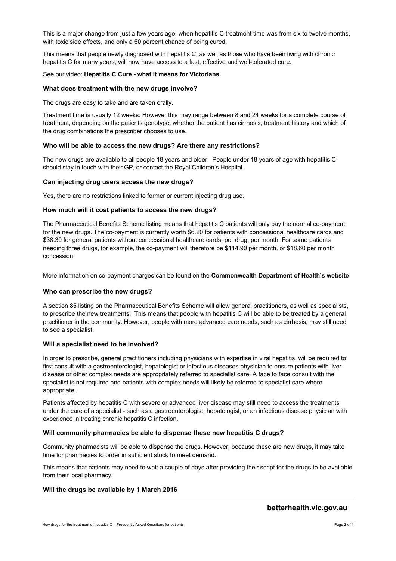This is a major change from just a few years ago, when hepatitis C treatment time was from six to twelve months, with toxic side effects, and only a 50 percent chance of being cured.

This means that people newly diagnosed with hepatitis C, as well as those who have been living with chronic hepatitis C for many years, will now have access to a fast, effective and well-tolerated cure.

## See our video: **[Hepatitis C Cure - what it means for Victorians](https://www.betterhealth.vic.gov.au/health/videos/Hepatitis%20C%20Cure)**

## **What does treatment with the new drugs involve?**

The drugs are easy to take and are taken orally.

Treatment time is usually 12 weeks. However this may range between 8 and 24 weeks for a complete course of treatment, depending on the patients genotype, whether the patient has cirrhosis, treatment history and which of the drug combinations the prescriber chooses to use.

# **Who will be able to access the new drugs? Are there any restrictions?**

The new drugs are available to all people 18 years and older. People under 18 years of age with hepatitis C should stay in touch with their GP, or contact the Royal Children's Hospital.

## **Can injecting drug users access the new drugs?**

Yes, there are no restrictions linked to former or current injecting drug use.

## **How much will it cost patients to access the new drugs?**

The Pharmaceutical Benefits Scheme listing means that hepatitis C patients will only pay the normal co-payment for the new drugs. The co-payment is currently worth \$6.20 for patients with concessional healthcare cards and \$38.30 for general patients without concessional healthcare cards, per drug, per month. For some patients needing three drugs, for example, the co-payment will therefore be \$114.90 per month, or \$18.60 per month concession.

More information on co-payment charges can be found on the **[Commonwealth Department of Health's](https://www.betterhealth.vic.gov.au/www.pbs.gov.au/info/about-the-pbs#What_are_the_current_patient_fees_and_charges)  website**

# **Who can prescribe the new drugs?**

A section 85 listing on the Pharmaceutical Benefits Scheme will allow general practitioners, as well as specialists, to prescribe the new treatments. This means that people with hepatitis C will be able to be treated by a general practitioner in the community. However, people with more advanced care needs, such as cirrhosis, may still need to see a specialist.

# **Will a specialist need to be involved?**

In order to prescribe, general practitioners including physicians with expertise in viral hepatitis, will be required to first consult with a gastroenterologist, hepatologist or infectious diseases physician to ensure patients with liver disease or other complex needs are appropriately referred to specialist care. A face to face consult with the specialist is not required and patients with complex needs will likely be referred to specialist care where appropriate.

Patients affected by hepatitis C with severe or advanced liver disease may still need to access the treatments under the care of a specialist - such as a gastroenterologist, hepatologist, or an infectious disease physician with experience in treating chronic hepatitis C infection.

# **Will community pharmacies be able to dispense these new hepatitis C drugs?**

Community pharmacists will be able to dispense the drugs. However, because these are new drugs, it may take time for pharmacies to order in sufficient stock to meet demand.

This means that patients may need to wait a couple of days after providing their script for the drugs to be available from their local pharmacy.

# **Will the drugs be available by 1 March 2016**

# **betterhealth.vic.gov.au**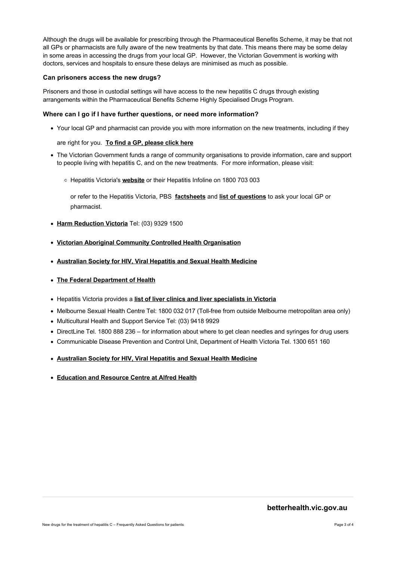Although the drugs will be available for prescribing through the Pharmaceutical Benefits Scheme, it may be that not all GPs or pharmacists are fully aware of the new treatments by that date. This means there may be some delay in some areas in accessing the drugs from your local GP. However, the Victorian Government is working with doctors, services and hospitals to ensure these delays are minimised as much as possible.

# **Can prisoners access the new drugs?**

Prisoners and those in custodial settings will have access to the new hepatitis C drugs through existing arrangements within the Pharmaceutical Benefits Scheme Highly Specialised Drugs Program.

## **Where can I go if I have further questions, or need more information?**

Your local GP and pharmacist can provide you with more information on the new treatments, including if they

## are right for you. **[To find a GP, please click](https://www.betterhealth.vic.gov.au/servicesandsupport)  here**

- The Victorian Government funds a range of community organisations to provide information, care and support to people living with hepatitis C, and on the new treatments. For more information, please visit:
	- Hepatitis Victoria's [website](http://www.hepvic.org.au) or their Hepatitis Infoline on 1800 703 003

or refer to the Hepatitis Victoria, PBS [factsheets](http://www.hepvic.org.au/page/12/hepatitis-c-what-is) and list of [questions](http://www.hepvic.org.au/news/2097/new-hepatitis-c-medications-from-march-2016) to ask your local GP or pharmacist.

- **[Harm Reduction](http://hrvic.org.au) Victoria** Tel: (03) 9329 1500
- **[Victorian Aboriginal Community Controlled Health](http://www.vaccho.org.au/resources/sh/)  Organisation**
- **[Australian Society for HIV, Viral Hepatitis and Sexual Health](http://www.ashm.org.au/)  Medicine**
- **[The Federal Department of](http://www.health.gov.au/internet/main/publishing.nsf/Content/portal-Hepatitis%20C)  Health**
- Hepatitis Victoria provides a **[list of liver clinics and liver specialists in](https://engonethepvic.blob.core.windows.net/assets/uploads/files/Liver%20clinics%20and%20Liver%20specialists%20Feb%2016-Final.pdf)  Victoria**
- Melbourne Sexual Health Centre Tel: 1800 032 017 (Toll-free from outside Melbourne metropolitan area only)
- Multicultural Health and Support Service Tel: (03) 9418 9929
- DirectLine Tel. 1800 888 236 for information about where to get clean needles and syringes for drug users
- Communicable Disease Prevention and Control Unit, Department of Health Victoria Tel. 1300 651 160
- **[Australian Society for HIV, Viral Hepatitis and Sexual Health](http://www.ashm.org.au/HCV)  Medicine**
- **[Education and Resource Centre at Alfred](http://www.alfredhealth.org.au/Department.aspx?ID=140)  Health**